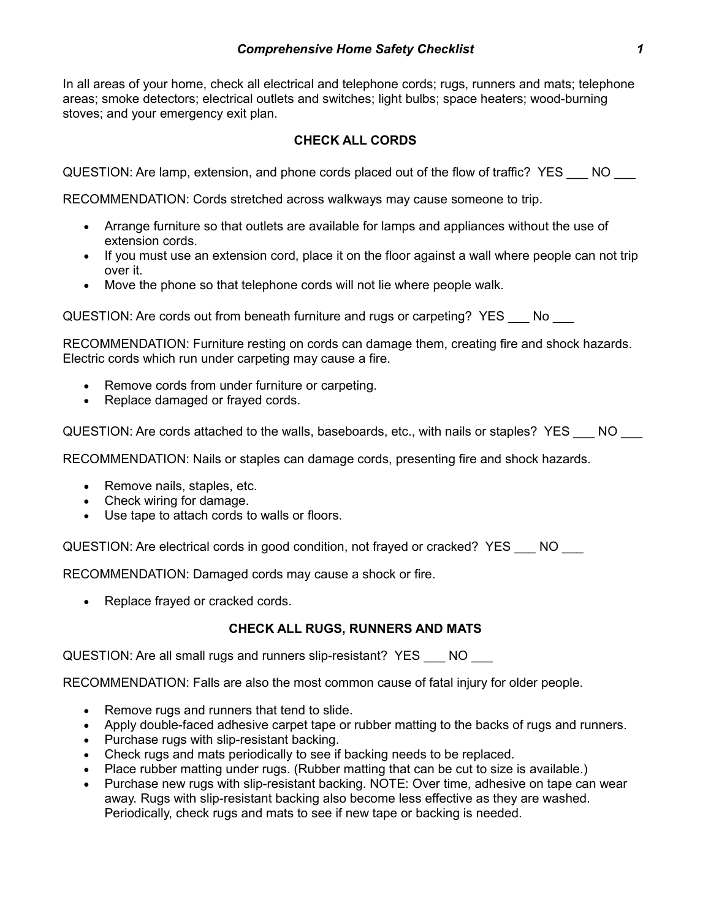In all areas of your home, check all electrical and telephone cords; rugs, runners and mats; telephone areas; smoke detectors; electrical outlets and switches; light bulbs; space heaters; wood-burning stoves; and your emergency exit plan.

## **CHECK ALL CORDS**

QUESTION: Are lamp, extension, and phone cords placed out of the flow of traffic? YES NO

RECOMMENDATION: Cords stretched across walkways may cause someone to trip.

- Arrange furniture so that outlets are available for lamps and appliances without the use of extension cords.
- If you must use an extension cord, place it on the floor against a wall where people can not trip over it.
- Move the phone so that telephone cords will not lie where people walk.

QUESTION: Are cords out from beneath furniture and rugs or carpeting? YES \_\_\_ No \_\_\_

RECOMMENDATION: Furniture resting on cords can damage them, creating fire and shock hazards. Electric cords which run under carpeting may cause a fire.

- Remove cords from under furniture or carpeting.
- Replace damaged or frayed cords.

QUESTION: Are cords attached to the walls, baseboards, etc., with nails or staples? YES NO

RECOMMENDATION: Nails or staples can damage cords, presenting fire and shock hazards.

- Remove nails, staples, etc.
- Check wiring for damage.
- Use tape to attach cords to walls or floors.

QUESTION: Are electrical cords in good condition, not frayed or cracked? YES \_\_\_ NO \_\_\_

RECOMMENDATION: Damaged cords may cause a shock or fire.

• Replace frayed or cracked cords.

### **CHECK ALL RUGS, RUNNERS AND MATS**

QUESTION: Are all small rugs and runners slip-resistant? YES \_\_\_ NO \_\_\_

RECOMMENDATION: Falls are also the most common cause of fatal injury for older people.

- Remove rugs and runners that tend to slide.
- Apply double-faced adhesive carpet tape or rubber matting to the backs of rugs and runners.
- Purchase rugs with slip-resistant backing.
- Check rugs and mats periodically to see if backing needs to be replaced.
- Place rubber matting under rugs. (Rubber matting that can be cut to size is available.)
- Purchase new rugs with slip-resistant backing. NOTE: Over time, adhesive on tape can wear away. Rugs with slip-resistant backing also become less effective as they are washed. Periodically, check rugs and mats to see if new tape or backing is needed.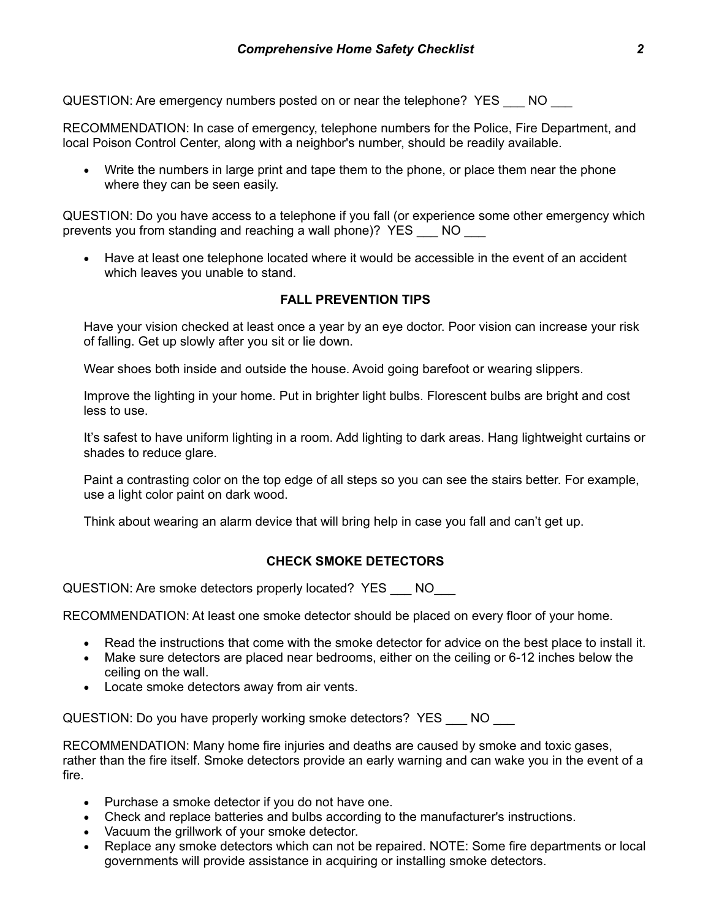QUESTION: Are emergency numbers posted on or near the telephone? YES NO

RECOMMENDATION: In case of emergency, telephone numbers for the Police, Fire Department, and local Poison Control Center, along with a neighbor's number, should be readily available.

 Write the numbers in large print and tape them to the phone, or place them near the phone where they can be seen easily.

QUESTION: Do you have access to a telephone if you fall (or experience some other emergency which prevents you from standing and reaching a wall phone)? YES NO

 Have at least one telephone located where it would be accessible in the event of an accident which leaves you unable to stand.

### **FALL PREVENTION TIPS**

Have your vision checked at least once a year by an eye doctor. Poor vision can increase your risk of falling. Get up slowly after you sit or lie down.

Wear shoes both inside and outside the house. Avoid going barefoot or wearing slippers.

Improve the lighting in your home. Put in brighter light bulbs. Florescent bulbs are bright and cost less to use.

It's safest to have uniform lighting in a room. Add lighting to dark areas. Hang lightweight curtains or shades to reduce glare.

Paint a contrasting color on the top edge of all steps so you can see the stairs better. For example, use a light color paint on dark wood.

Think about wearing an alarm device that will bring help in case you fall and can't get up.

### **CHECK SMOKE DETECTORS**

QUESTION: Are smoke detectors properly located? YES NO

RECOMMENDATION: At least one smoke detector should be placed on every floor of your home.

- Read the instructions that come with the smoke detector for advice on the best place to install it.
- Make sure detectors are placed near bedrooms, either on the ceiling or 6-12 inches below the ceiling on the wall.
- Locate smoke detectors away from air vents.

QUESTION: Do you have properly working smoke detectors? YES \_\_\_ NO \_\_\_

RECOMMENDATION: Many home fire injuries and deaths are caused by smoke and toxic gases, rather than the fire itself. Smoke detectors provide an early warning and can wake you in the event of a fire.

- Purchase a smoke detector if you do not have one.
- Check and replace batteries and bulbs according to the manufacturer's instructions.
- Vacuum the grillwork of your smoke detector.
- Replace any smoke detectors which can not be repaired. NOTE: Some fire departments or local governments will provide assistance in acquiring or installing smoke detectors.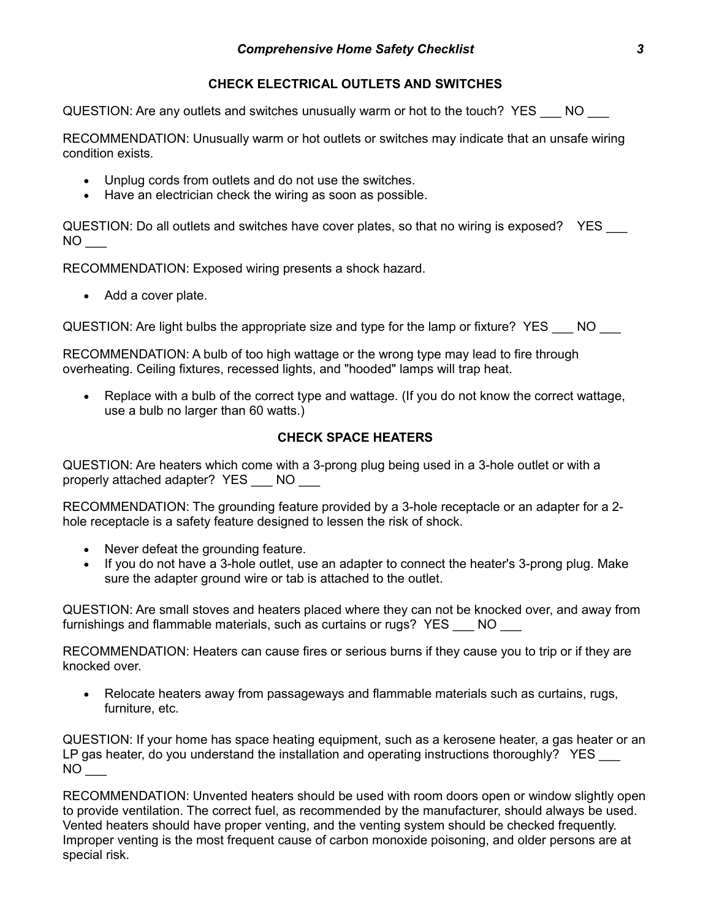## **CHECK ELECTRICAL OUTLETS AND SWITCHES**

QUESTION: Are any outlets and switches unusually warm or hot to the touch? YES NO

RECOMMENDATION: Unusually warm or hot outlets or switches may indicate that an unsafe wiring condition exists.

- Unplug cords from outlets and do not use the switches.
- Have an electrician check the wiring as soon as possible.

QUESTION: Do all outlets and switches have cover plates, so that no wiring is exposed? YES \_\_\_  $NO$ 

RECOMMENDATION: Exposed wiring presents a shock hazard.

• Add a cover plate.

QUESTION: Are light bulbs the appropriate size and type for the lamp or fixture? YES \_\_\_ NO

RECOMMENDATION: A bulb of too high wattage or the wrong type may lead to fire through overheating. Ceiling fixtures, recessed lights, and "hooded" lamps will trap heat.

• Replace with a bulb of the correct type and wattage. (If you do not know the correct wattage, use a bulb no larger than 60 watts.)

## **CHECK SPACE HEATERS**

QUESTION: Are heaters which come with a 3-prong plug being used in a 3-hole outlet or with a properly attached adapter? YES NO

RECOMMENDATION: The grounding feature provided by a 3-hole receptacle or an adapter for a 2 hole receptacle is a safety feature designed to lessen the risk of shock.

- Never defeat the grounding feature.
- If you do not have a 3-hole outlet, use an adapter to connect the heater's 3-prong plug. Make sure the adapter ground wire or tab is attached to the outlet.

QUESTION: Are small stoves and heaters placed where they can not be knocked over, and away from furnishings and flammable materials, such as curtains or rugs? YES NO

RECOMMENDATION: Heaters can cause fires or serious burns if they cause you to trip or if they are knocked over.

 Relocate heaters away from passageways and flammable materials such as curtains, rugs, furniture, etc.

QUESTION: If your home has space heating equipment, such as a kerosene heater, a gas heater or an LP gas heater, do you understand the installation and operating instructions thoroughly? YES  $NO$ 

RECOMMENDATION: Unvented heaters should be used with room doors open or window slightly open to provide ventilation. The correct fuel, as recommended by the manufacturer, should always be used. Vented heaters should have proper venting, and the venting system should be checked frequently. Improper venting is the most frequent cause of carbon monoxide poisoning, and older persons are at special risk.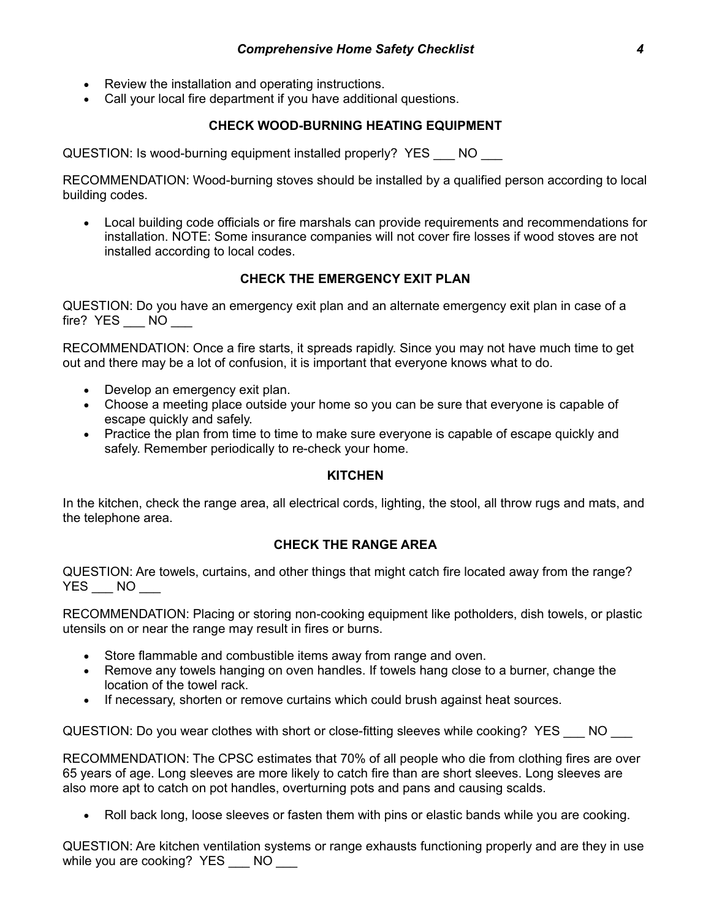- Review the installation and operating instructions.
- Call your local fire department if you have additional questions.

## **CHECK WOOD-BURNING HEATING EQUIPMENT**

QUESTION: Is wood-burning equipment installed properly? YES NO

RECOMMENDATION: Wood-burning stoves should be installed by a qualified person according to local building codes.

 Local building code officials or fire marshals can provide requirements and recommendations for installation. NOTE: Some insurance companies will not cover fire losses if wood stoves are not installed according to local codes.

## **CHECK THE EMERGENCY EXIT PLAN**

QUESTION: Do you have an emergency exit plan and an alternate emergency exit plan in case of a fire?  $YES$  NO  $\_\_$ 

RECOMMENDATION: Once a fire starts, it spreads rapidly. Since you may not have much time to get out and there may be a lot of confusion, it is important that everyone knows what to do.

- Develop an emergency exit plan.
- Choose a meeting place outside your home so you can be sure that everyone is capable of escape quickly and safely.
- Practice the plan from time to time to make sure everyone is capable of escape quickly and safely. Remember periodically to re-check your home.

### **KITCHEN**

In the kitchen, check the range area, all electrical cords, lighting, the stool, all throw rugs and mats, and the telephone area.

### **CHECK THE RANGE AREA**

QUESTION: Are towels, curtains, and other things that might catch fire located away from the range? YES NO

RECOMMENDATION: Placing or storing non-cooking equipment like potholders, dish towels, or plastic utensils on or near the range may result in fires or burns.

- Store flammable and combustible items away from range and oven.
- Remove any towels hanging on oven handles. If towels hang close to a burner, change the location of the towel rack.
- If necessary, shorten or remove curtains which could brush against heat sources.

QUESTION: Do you wear clothes with short or close-fitting sleeves while cooking? YES \_\_\_ NO \_\_\_

RECOMMENDATION: The CPSC estimates that 70% of all people who die from clothing fires are over 65 years of age. Long sleeves are more likely to catch fire than are short sleeves. Long sleeves are also more apt to catch on pot handles, overturning pots and pans and causing scalds.

• Roll back long, loose sleeves or fasten them with pins or elastic bands while you are cooking.

QUESTION: Are kitchen ventilation systems or range exhausts functioning properly and are they in use while you are cooking? YES \_\_\_ NO \_\_\_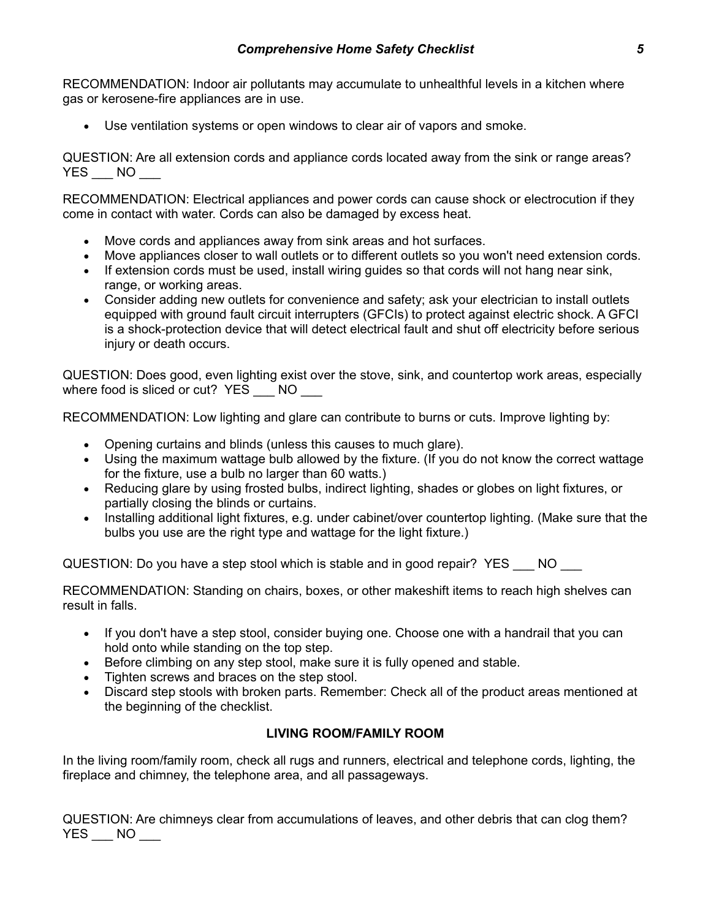RECOMMENDATION: Indoor air pollutants may accumulate to unhealthful levels in a kitchen where gas or kerosene-fire appliances are in use.

Use ventilation systems or open windows to clear air of vapors and smoke.

QUESTION: Are all extension cords and appliance cords located away from the sink or range areas? YES NO

RECOMMENDATION: Electrical appliances and power cords can cause shock or electrocution if they come in contact with water. Cords can also be damaged by excess heat.

- Move cords and appliances away from sink areas and hot surfaces.
- Move appliances closer to wall outlets or to different outlets so you won't need extension cords.
- If extension cords must be used, install wiring guides so that cords will not hang near sink, range, or working areas.
- Consider adding new outlets for convenience and safety; ask your electrician to install outlets equipped with ground fault circuit interrupters (GFCIs) to protect against electric shock. A GFCI is a shock-protection device that will detect electrical fault and shut off electricity before serious injury or death occurs.

QUESTION: Does good, even lighting exist over the stove, sink, and countertop work areas, especially where food is sliced or cut? YES NO

RECOMMENDATION: Low lighting and glare can contribute to burns or cuts. Improve lighting by:

- Opening curtains and blinds (unless this causes to much glare).
- Using the maximum wattage bulb allowed by the fixture. (If you do not know the correct wattage for the fixture, use a bulb no larger than 60 watts.)
- Reducing glare by using frosted bulbs, indirect lighting, shades or globes on light fixtures, or partially closing the blinds or curtains.
- Installing additional light fixtures, e.g. under cabinet/over countertop lighting. (Make sure that the bulbs you use are the right type and wattage for the light fixture.)

QUESTION: Do you have a step stool which is stable and in good repair? YES NO

RECOMMENDATION: Standing on chairs, boxes, or other makeshift items to reach high shelves can result in falls.

- If you don't have a step stool, consider buying one. Choose one with a handrail that you can hold onto while standing on the top step.
- Before climbing on any step stool, make sure it is fully opened and stable.
- Tighten screws and braces on the step stool.
- Discard step stools with broken parts. Remember: Check all of the product areas mentioned at the beginning of the checklist.

## **LIVING ROOM/FAMILY ROOM**

In the living room/family room, check all rugs and runners, electrical and telephone cords, lighting, the fireplace and chimney, the telephone area, and all passageways.

QUESTION: Are chimneys clear from accumulations of leaves, and other debris that can clog them? YES NO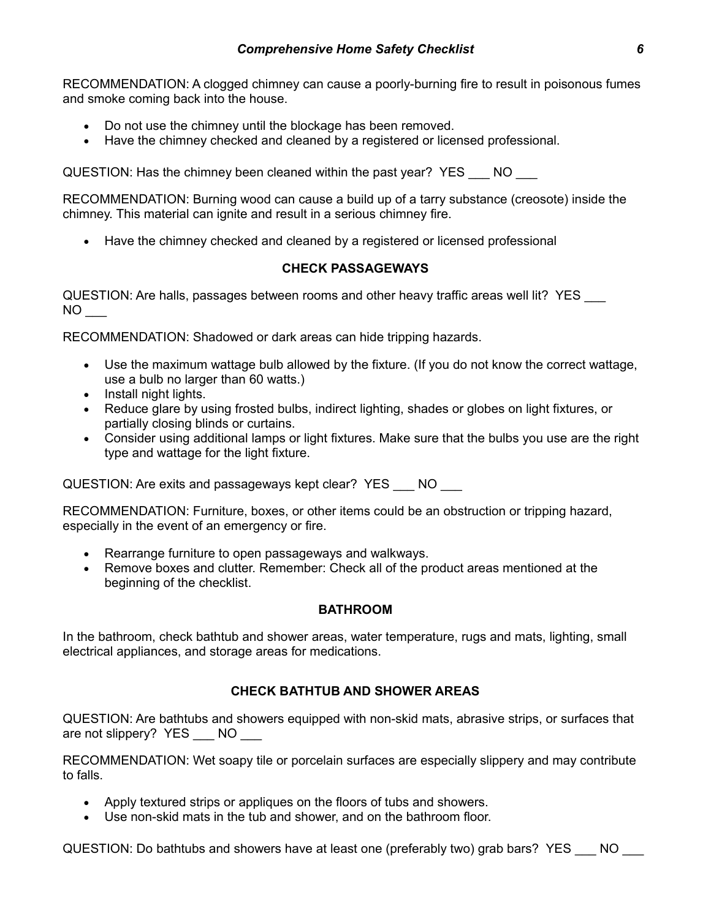RECOMMENDATION: A clogged chimney can cause a poorly-burning fire to result in poisonous fumes and smoke coming back into the house.

- Do not use the chimney until the blockage has been removed.
- Have the chimney checked and cleaned by a registered or licensed professional.

QUESTION: Has the chimney been cleaned within the past year? YES NO

RECOMMENDATION: Burning wood can cause a build up of a tarry substance (creosote) inside the chimney. This material can ignite and result in a serious chimney fire.

Have the chimney checked and cleaned by a registered or licensed professional

### **CHECK PASSAGEWAYS**

QUESTION: Are halls, passages between rooms and other heavy traffic areas well lit? YES  $NO$ 

RECOMMENDATION: Shadowed or dark areas can hide tripping hazards.

- Use the maximum wattage bulb allowed by the fixture. (If you do not know the correct wattage, use a bulb no larger than 60 watts.)
- Install night lights.
- Reduce glare by using frosted bulbs, indirect lighting, shades or globes on light fixtures, or partially closing blinds or curtains.
- Consider using additional lamps or light fixtures. Make sure that the bulbs you use are the right type and wattage for the light fixture.

QUESTION: Are exits and passageways kept clear? YES NO

RECOMMENDATION: Furniture, boxes, or other items could be an obstruction or tripping hazard, especially in the event of an emergency or fire.

- Rearrange furniture to open passageways and walkways.
- Remove boxes and clutter. Remember: Check all of the product areas mentioned at the beginning of the checklist.

#### **BATHROOM**

In the bathroom, check bathtub and shower areas, water temperature, rugs and mats, lighting, small electrical appliances, and storage areas for medications.

### **CHECK BATHTUB AND SHOWER AREAS**

QUESTION: Are bathtubs and showers equipped with non-skid mats, abrasive strips, or surfaces that are not slippery? YES \_\_\_ NO \_\_\_

RECOMMENDATION: Wet soapy tile or porcelain surfaces are especially slippery and may contribute to falls.

- Apply textured strips or appliques on the floors of tubs and showers.
- Use non-skid mats in the tub and shower, and on the bathroom floor.

QUESTION: Do bathtubs and showers have at least one (preferably two) grab bars? YES NO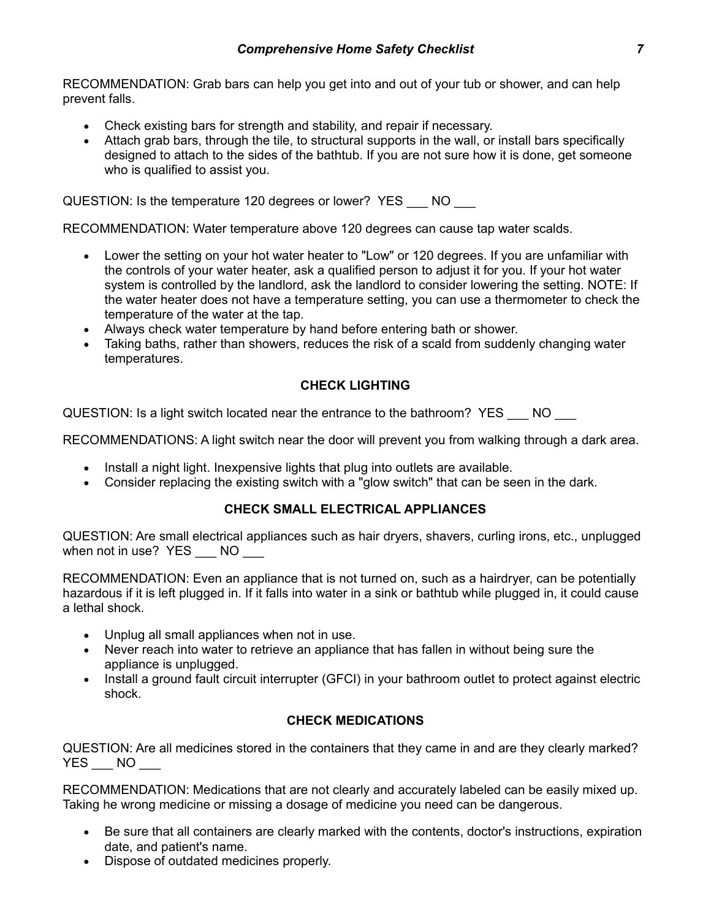RECOMMENDATION: Grab bars can help you get into and out of your tub or shower, and can help prevent falls.

- Check existing bars for strength and stability, and repair if necessary.
- Attach grab bars, through the tile, to structural supports in the wall, or install bars specifically designed to attach to the sides of the bathtub. If you are not sure how it is done, get someone who is qualified to assist you.

QUESTION: Is the temperature 120 degrees or lower? YES NO

RECOMMENDATION: Water temperature above 120 degrees can cause tap water scalds.

- Lower the setting on your hot water heater to "Low" or 120 degrees. If you are unfamiliar with the controls of your water heater, ask a qualified person to adjust it for you. If your hot water system is controlled by the landlord, ask the landlord to consider lowering the setting. NOTE: If the water heater does not have a temperature setting, you can use a thermometer to check the temperature of the water at the tap.
- Always check water temperature by hand before entering bath or shower.
- Taking baths, rather than showers, reduces the risk of a scald from suddenly changing water temperatures.

### **CHECK LIGHTING**

QUESTION: Is a light switch located near the entrance to the bathroom? YES NO

RECOMMENDATIONS: A light switch near the door will prevent you from walking through a dark area.

- Install a night light. Inexpensive lights that plug into outlets are available.
- Consider replacing the existing switch with a "glow switch" that can be seen in the dark.

#### **CHECK SMALL ELECTRICAL APPLIANCES**

QUESTION: Are small electrical appliances such as hair dryers, shavers, curling irons, etc., unplugged when not in use? YES NO

RECOMMENDATION: Even an appliance that is not turned on, such as a hairdryer, can be potentially hazardous if it is left plugged in. If it falls into water in a sink or bathtub while plugged in, it could cause a lethal shock.

- Unplug all small appliances when not in use.
- Never reach into water to retrieve an appliance that has fallen in without being sure the appliance is unplugged.
- Install a ground fault circuit interrupter (GFCI) in your bathroom outlet to protect against electric shock.

### **CHECK MEDICATIONS**

QUESTION: Are all medicines stored in the containers that they came in and are they clearly marked?  $YES$  NO  $\_\_$ 

RECOMMENDATION: Medications that are not clearly and accurately labeled can be easily mixed up. Taking he wrong medicine or missing a dosage of medicine you need can be dangerous.

- Be sure that all containers are clearly marked with the contents, doctor's instructions, expiration date, and patient's name.
- Dispose of outdated medicines properly.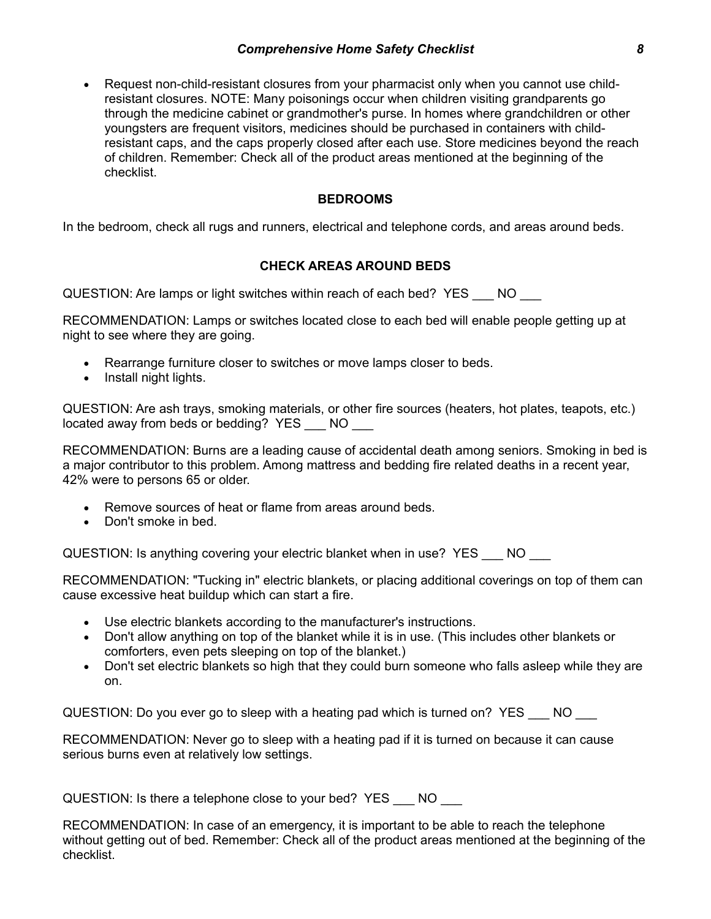Request non-child-resistant closures from your pharmacist only when you cannot use childresistant closures. NOTE: Many poisonings occur when children visiting grandparents go through the medicine cabinet or grandmother's purse. In homes where grandchildren or other youngsters are frequent visitors, medicines should be purchased in containers with childresistant caps, and the caps properly closed after each use. Store medicines beyond the reach of children. Remember: Check all of the product areas mentioned at the beginning of the checklist.

### **BEDROOMS**

In the bedroom, check all rugs and runners, electrical and telephone cords, and areas around beds.

## **CHECK AREAS AROUND BEDS**

QUESTION: Are lamps or light switches within reach of each bed? YES \_\_\_ NO \_\_\_

RECOMMENDATION: Lamps or switches located close to each bed will enable people getting up at night to see where they are going.

- Rearrange furniture closer to switches or move lamps closer to beds.
- Install night lights.

QUESTION: Are ash trays, smoking materials, or other fire sources (heaters, hot plates, teapots, etc.) located away from beds or bedding? YES NO

RECOMMENDATION: Burns are a leading cause of accidental death among seniors. Smoking in bed is a major contributor to this problem. Among mattress and bedding fire related deaths in a recent year, 42% were to persons 65 or older.

- Remove sources of heat or flame from areas around beds.
- Don't smoke in bed.

QUESTION: Is anything covering your electric blanket when in use? YES \_\_\_ NO \_\_\_

RECOMMENDATION: "Tucking in" electric blankets, or placing additional coverings on top of them can cause excessive heat buildup which can start a fire.

- Use electric blankets according to the manufacturer's instructions.
- Don't allow anything on top of the blanket while it is in use. (This includes other blankets or comforters, even pets sleeping on top of the blanket.)
- Don't set electric blankets so high that they could burn someone who falls asleep while they are on.

QUESTION: Do you ever go to sleep with a heating pad which is turned on? YES NO

RECOMMENDATION: Never go to sleep with a heating pad if it is turned on because it can cause serious burns even at relatively low settings.

QUESTION: Is there a telephone close to your bed? YES NO

RECOMMENDATION: In case of an emergency, it is important to be able to reach the telephone without getting out of bed. Remember: Check all of the product areas mentioned at the beginning of the checklist.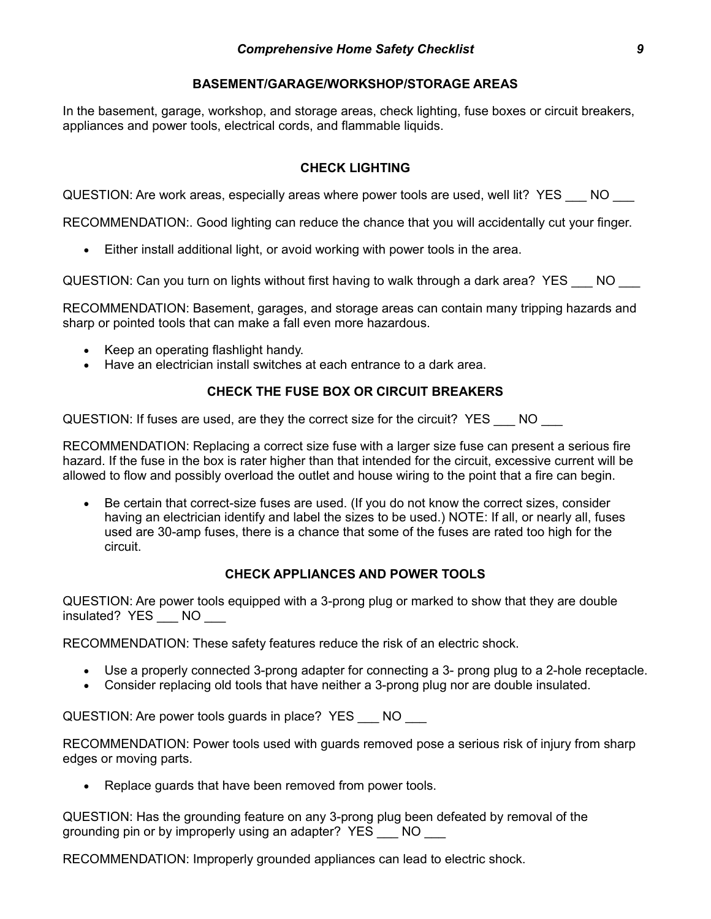#### **BASEMENT/GARAGE/WORKSHOP/STORAGE AREAS**

In the basement, garage, workshop, and storage areas, check lighting, fuse boxes or circuit breakers, appliances and power tools, electrical cords, and flammable liquids.

#### **CHECK LIGHTING**

QUESTION: Are work areas, especially areas where power tools are used, well lit? YES NO

RECOMMENDATION:. Good lighting can reduce the chance that you will accidentally cut your finger.

Either install additional light, or avoid working with power tools in the area.

QUESTION: Can you turn on lights without first having to walk through a dark area? YES NO

RECOMMENDATION: Basement, garages, and storage areas can contain many tripping hazards and sharp or pointed tools that can make a fall even more hazardous.

- Keep an operating flashlight handy.
- Have an electrician install switches at each entrance to a dark area.

### **CHECK THE FUSE BOX OR CIRCUIT BREAKERS**

QUESTION: If fuses are used, are they the correct size for the circuit? YES NO

RECOMMENDATION: Replacing a correct size fuse with a larger size fuse can present a serious fire hazard. If the fuse in the box is rater higher than that intended for the circuit, excessive current will be allowed to flow and possibly overload the outlet and house wiring to the point that a fire can begin.

 Be certain that correct-size fuses are used. (If you do not know the correct sizes, consider having an electrician identify and label the sizes to be used.) NOTE: If all, or nearly all, fuses used are 30-amp fuses, there is a chance that some of the fuses are rated too high for the circuit.

### **CHECK APPLIANCES AND POWER TOOLS**

QUESTION: Are power tools equipped with a 3-prong plug or marked to show that they are double insulated? YES \_\_\_ NO

RECOMMENDATION: These safety features reduce the risk of an electric shock.

- Use a properly connected 3-prong adapter for connecting a 3- prong plug to a 2-hole receptacle.
- Consider replacing old tools that have neither a 3-prong plug nor are double insulated.

QUESTION: Are power tools guards in place? YES NO

RECOMMENDATION: Power tools used with guards removed pose a serious risk of injury from sharp edges or moving parts.

• Replace guards that have been removed from power tools.

QUESTION: Has the grounding feature on any 3-prong plug been defeated by removal of the grounding pin or by improperly using an adapter? YES \_\_\_ NO \_\_\_

RECOMMENDATION: Improperly grounded appliances can lead to electric shock.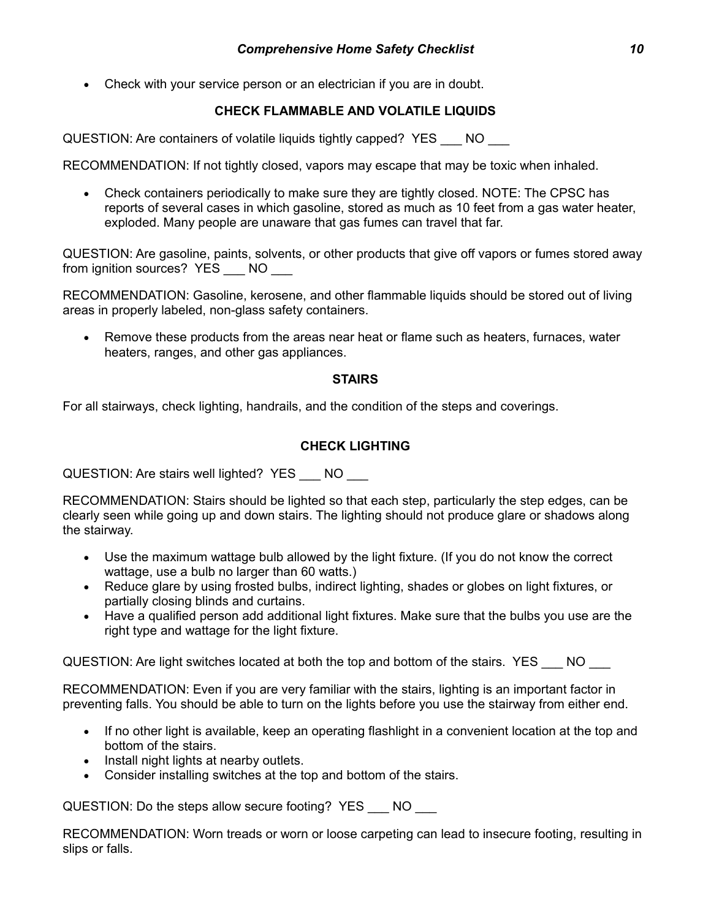• Check with your service person or an electrician if you are in doubt.

# **CHECK FLAMMABLE AND VOLATILE LIQUIDS**

QUESTION: Are containers of volatile liquids tightly capped? YES \_\_\_ NO \_\_\_

RECOMMENDATION: If not tightly closed, vapors may escape that may be toxic when inhaled.

 Check containers periodically to make sure they are tightly closed. NOTE: The CPSC has reports of several cases in which gasoline, stored as much as 10 feet from a gas water heater, exploded. Many people are unaware that gas fumes can travel that far.

QUESTION: Are gasoline, paints, solvents, or other products that give off vapors or fumes stored away from ignition sources? YES \_\_\_ NO

RECOMMENDATION: Gasoline, kerosene, and other flammable liquids should be stored out of living areas in properly labeled, non-glass safety containers.

 Remove these products from the areas near heat or flame such as heaters, furnaces, water heaters, ranges, and other gas appliances.

### **STAIRS**

For all stairways, check lighting, handrails, and the condition of the steps and coverings.

## **CHECK LIGHTING**

QUESTION: Are stairs well lighted? YES NO

RECOMMENDATION: Stairs should be lighted so that each step, particularly the step edges, can be clearly seen while going up and down stairs. The lighting should not produce glare or shadows along the stairway.

- Use the maximum wattage bulb allowed by the light fixture. (If you do not know the correct wattage, use a bulb no larger than 60 watts.)
- Reduce glare by using frosted bulbs, indirect lighting, shades or globes on light fixtures, or partially closing blinds and curtains.
- Have a qualified person add additional light fixtures. Make sure that the bulbs you use are the right type and wattage for the light fixture.

QUESTION: Are light switches located at both the top and bottom of the stairs. YES  $\blacksquare$  NO

RECOMMENDATION: Even if you are very familiar with the stairs, lighting is an important factor in preventing falls. You should be able to turn on the lights before you use the stairway from either end.

- If no other light is available, keep an operating flashlight in a convenient location at the top and bottom of the stairs.
- Install night lights at nearby outlets.
- Consider installing switches at the top and bottom of the stairs.

QUESTION: Do the steps allow secure footing? YES NO

RECOMMENDATION: Worn treads or worn or loose carpeting can lead to insecure footing, resulting in slips or falls.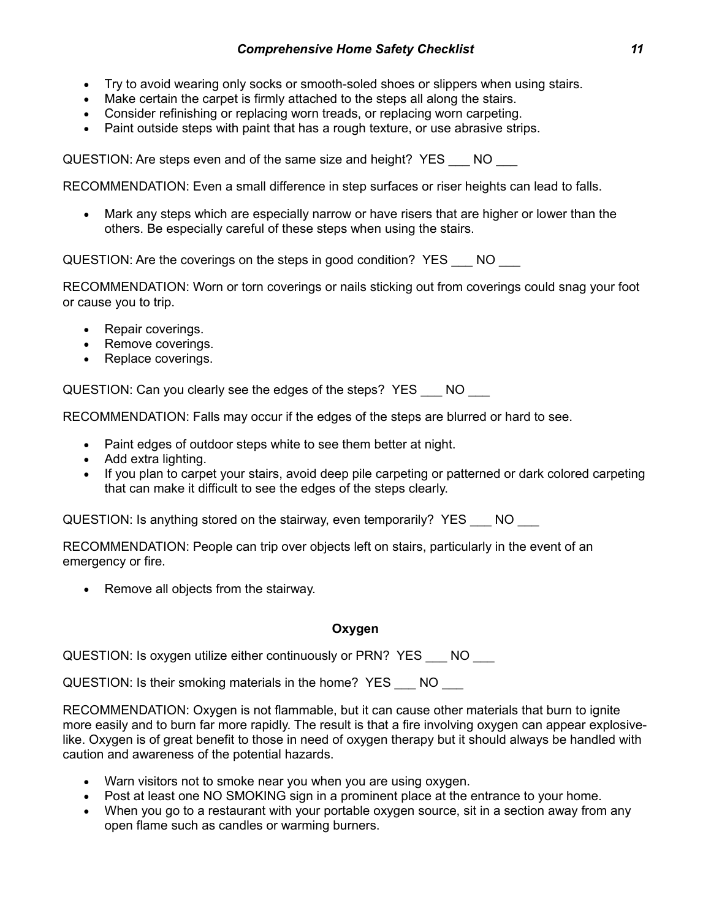- Try to avoid wearing only socks or smooth-soled shoes or slippers when using stairs.
- Make certain the carpet is firmly attached to the steps all along the stairs.
- Consider refinishing or replacing worn treads, or replacing worn carpeting.
- Paint outside steps with paint that has a rough texture, or use abrasive strips.

QUESTION: Are steps even and of the same size and height? YES NO

RECOMMENDATION: Even a small difference in step surfaces or riser heights can lead to falls.

 Mark any steps which are especially narrow or have risers that are higher or lower than the others. Be especially careful of these steps when using the stairs.

QUESTION: Are the coverings on the steps in good condition? YES NO

RECOMMENDATION: Worn or torn coverings or nails sticking out from coverings could snag your foot or cause you to trip.

- Repair coverings.
- Remove coverings.
- Replace coverings.

QUESTION: Can you clearly see the edges of the steps? YES NO

RECOMMENDATION: Falls may occur if the edges of the steps are blurred or hard to see.

- Paint edges of outdoor steps white to see them better at night.
- Add extra lighting.
- If you plan to carpet your stairs, avoid deep pile carpeting or patterned or dark colored carpeting that can make it difficult to see the edges of the steps clearly.

QUESTION: Is anything stored on the stairway, even temporarily? YES \_\_\_ NO \_\_\_

RECOMMENDATION: People can trip over objects left on stairs, particularly in the event of an emergency or fire.

• Remove all objects from the stairway.

#### **Oxygen**

QUESTION: Is oxygen utilize either continuously or PRN? YES \_\_\_ NO \_\_\_

QUESTION: Is their smoking materials in the home? YES NO

RECOMMENDATION: Oxygen is not flammable, but it can cause other materials that burn to ignite more easily and to burn far more rapidly. The result is that a fire involving oxygen can appear explosivelike. Oxygen is of great benefit to those in need of oxygen therapy but it should always be handled with caution and awareness of the potential hazards.

- Warn visitors not to smoke near you when you are using oxygen.
- Post at least one NO SMOKING sign in a prominent place at the entrance to your home.
- When you go to a restaurant with your portable oxygen source, sit in a section away from any open flame such as candles or warming burners.